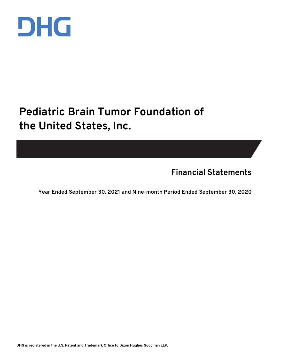

## **Pediatric Brain Tumor Foundation of the United States, Inc.**

**Financial Statements**

**Year Ended September 30, 2021 and Nine-month Period Ended September 30, 2020**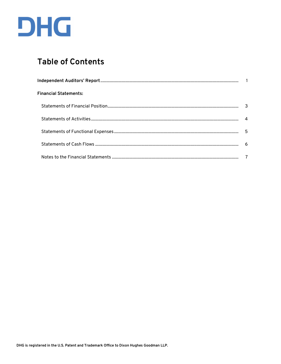

## **Table of Contents**

| <b>Financial Statements:</b> |    |
|------------------------------|----|
|                              |    |
|                              |    |
|                              | -5 |
|                              |    |
|                              |    |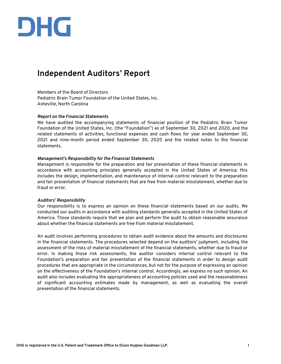# DHG

### **Independent Auditors' Report**

Members of the Board of Directors Pediatric Brain Tumor Foundation of the United States, Inc. Asheville, North Carolina

#### *Report on the Financial Statements*

We have audited the accompanying statements of financial position of the Pediatric Brain Tumor Foundation of the United States, Inc. (the "Foundation") as of September 30, 2021 and 2020, and the related statements of activities, functional expenses and cash flows for year ended September 30, 2021 and nine-month period ended September 30, 2020 and the related notes to the financial statements.

#### *Management's Responsibility for the Financial Statements*

Management is responsible for the preparation and fair presentation of these financial statements in accordance with accounting principles generally accepted in the United States of America; this includes the design, implementation, and maintenance of internal control relevant to the preparation and fair presentation of financial statements that are free from material misstatement, whether due to fraud or error.

#### *Auditors' Responsibility*

Our responsibility is to express an opinion on these financial statements based on our audits. We conducted our audits in accordance with auditing standards generally accepted in the United States of America. Those standards require that we plan and perform the audit to obtain reasonable assurance about whether the financial statements are free from material misstatement.

An audit involves performing procedures to obtain audit evidence about the amounts and disclosures in the financial statements. The procedures selected depend on the auditors' judgment, including the assessment of the risks of material misstatement of the financial statements, whether due to fraud or error. In making those risk assessments, the auditor considers internal control relevant to the Foundation's preparation and fair presentation of the financial statements in order to design audit procedures that are appropriate in the circumstances, but not for the purpose of expressing an opinion on the effectiveness of the Foundation's internal control. Accordingly, we express no such opinion. An audit also includes evaluating the appropriateness of accounting policies used and the reasonableness of significant accounting estimates made by management, as well as evaluating the overall presentation of the financial statements.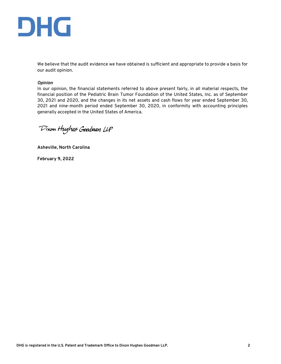

We believe that the audit evidence we have obtained is sufficient and appropriate to provide a basis for our audit opinion.

#### *Opinion*

In our opinion, the financial statements referred to above present fairly, in all material respects, the financial position of the Pediatric Brain Tumor Foundation of the United States, Inc. as of September 30, 2021 and 2020, and the changes in its net assets and cash flows for year ended September 30, 2021 and nine-month period ended September 30, 2020, in conformity with accounting principles generally accepted in the United States of America.

Dixon Hughes Goodman LLP

**Asheville, North Carolina**

**February 9, 2022**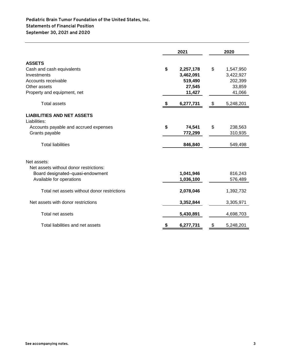#### **Statements of Financial Position Pediatric Brain Tumor Foundation of the United States, Inc. September 30, 2021 and 2020**

|                                                                                                                                          | 2021                                                        | 2020                                                        |
|------------------------------------------------------------------------------------------------------------------------------------------|-------------------------------------------------------------|-------------------------------------------------------------|
| <b>ASSETS</b><br>Cash and cash equivalents<br>Investments<br>Accounts receivable<br>Other assets<br>Property and equipment, net          | \$<br>2,257,178<br>3,462,091<br>519,490<br>27,545<br>11,427 | \$<br>1,547,950<br>3,422,927<br>202,399<br>33,859<br>41,066 |
| <b>Total assets</b>                                                                                                                      | 6,277,731                                                   | \$<br>5,248,201                                             |
| <b>LIABILITIES AND NET ASSETS</b><br>Liabilities:<br>Accounts payable and accrued expenses<br>Grants payable<br><b>Total liabilities</b> | \$<br>74,541<br>772,299<br>846,840                          | \$<br>238,563<br>310,935<br>549,498                         |
| Net assets:<br>Net assets without donor restrictions:<br>Board designated-quasi-endowment<br>Available for operations                    | 1,041,946<br>1,036,100                                      | 816,243<br>576,489                                          |
| Total net assets without donor restrictions                                                                                              | 2,078,046                                                   | 1,392,732                                                   |
| Net assets with donor restrictions                                                                                                       | 3,352,844                                                   | 3,305,971                                                   |
| Total net assets                                                                                                                         | 5,430,891                                                   | 4,698,703                                                   |
| Total liabilities and net assets                                                                                                         | 6,277,731                                                   | \$<br>5,248,201                                             |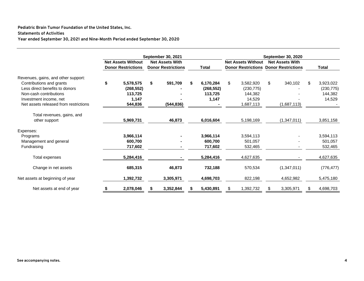#### **Pediatric Brain Tumor Foundation of the United States, Inc.**

#### **Statements of Activities**

**Year ended September 30, 2021 and Nine-Month Period ended September 30, 2020**

|                                                                                                                                                                                                | <b>September 30, 2021</b> |                                                        |    |                                                     |    | <b>September 30, 2020</b>                   |    |                                                                           |    |                        |     |                                              |  |
|------------------------------------------------------------------------------------------------------------------------------------------------------------------------------------------------|---------------------------|--------------------------------------------------------|----|-----------------------------------------------------|----|---------------------------------------------|----|---------------------------------------------------------------------------|----|------------------------|-----|----------------------------------------------|--|
|                                                                                                                                                                                                |                           | <b>Net Assets Without</b><br><b>Donor Restrictions</b> |    | <b>Net Assets With</b><br><b>Donor Restrictions</b> |    | <b>Total</b>                                |    | <b>Net Assets Without</b><br><b>Donor Restrictions Donor Restrictions</b> |    | <b>Net Assets With</b> |     | Total                                        |  |
| Revenues, gains, and other support:<br>Contributions and grants<br>Less direct benefits to donors<br>Non-cash contributions<br>Investment income, net<br>Net assets released from restrictions | \$                        | 5,578,575<br>(268, 552)<br>113,725<br>1,147<br>544,836 | \$ | 591,709<br>(544, 836)                               | \$ | 6,170,284<br>(268, 552)<br>113,725<br>1,147 | \$ | 3,582,920<br>(230, 775)<br>144.382<br>14,529<br>1,687,113                 | \$ | 340,102<br>(1,687,113) | \$. | 3,923,022<br>(230, 775)<br>144,382<br>14,529 |  |
| Total revenues, gains, and<br>other support                                                                                                                                                    |                           | 5,969,731                                              |    | 46,873                                              |    | 6,016,604                                   |    | 5,198,169                                                                 |    | (1,347,011)            |     | 3,851,158                                    |  |
| Expenses:<br>Programs<br>Management and general<br>Fundraising                                                                                                                                 |                           | 3,966,114<br>600,700<br>717,602                        |    |                                                     |    | 3,966,114<br>600,700<br>717,602             |    | 3,594,113<br>501,057<br>532,465                                           |    |                        |     | 3,594,113<br>501,057<br>532,465              |  |
| Total expenses                                                                                                                                                                                 |                           | 5,284,416                                              |    |                                                     |    | 5,284,416                                   |    | 4,627,635                                                                 |    |                        |     | 4,627,635                                    |  |
| Change in net assets                                                                                                                                                                           |                           | 685,315                                                |    | 46,873                                              |    | 732,188                                     |    | 570,534                                                                   |    | (1,347,011)            |     | (776, 477)                                   |  |
| Net assets at beginning of year                                                                                                                                                                |                           | 1,392,732                                              |    | 3,305,971                                           |    | 4,698,703                                   |    | 822,198                                                                   |    | 4,652,982              |     | 5,475,180                                    |  |
| Net assets at end of year                                                                                                                                                                      | \$                        | 2,078,046                                              |    | 3,352,844                                           |    | 5,430,891                                   |    | 1,392,732                                                                 |    | 3,305,971              |     | 4,698,703                                    |  |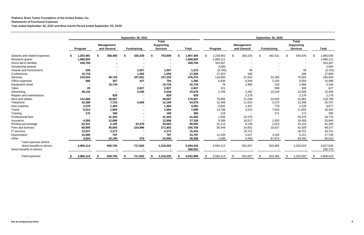|                               | September 30, 2021 |           |    |                                  | September 30, 2020 |                                                      |              |    |                          |    |                                  |    |                    |    |                                                      |  |              |
|-------------------------------|--------------------|-----------|----|----------------------------------|--------------------|------------------------------------------------------|--------------|----|--------------------------|----|----------------------------------|----|--------------------|----|------------------------------------------------------|--|--------------|
|                               |                    | Program   |    | <b>Management</b><br>and General | <b>Fundraising</b> | <b>Total</b><br><b>Supporting</b><br><b>Services</b> | <b>Total</b> |    | Program                  |    | <b>Management</b><br>and General |    | <b>Fundraising</b> |    | <b>Total</b><br><b>Supporting</b><br><b>Services</b> |  | <b>Total</b> |
| Salaries and related expenses |                    | 1,203,491 | £. | 368,480                          | 335,430            | \$<br>703,909                                        | 1,907,400    |    | 1,229,962                | \$ | 293,155                          | \$ | 342,521            | \$ | 635,676                                              |  | 1,865,638    |
| Research grants               |                    | 1,668,820 |    |                                  |                    |                                                      | 1,668,820    |    | 1,666,111                |    |                                  |    |                    |    |                                                      |  | 1,666,111    |
| Direct aid to families        |                    | 459,794   |    |                                  |                    |                                                      | 459,794      |    | 324,307                  |    |                                  |    |                    |    |                                                      |  | 324,307      |
| Scholarship awards            |                    |           |    |                                  |                    |                                                      |              |    | 2,000                    |    |                                  |    |                    |    |                                                      |  | 2,000        |
| Awards and honorariums        |                    | 206       |    |                                  | 1,007              | 1,007                                                | 1,213        |    | (3,750)                  |    | 49                               |    |                    |    | 49                                                   |  | (3,701)      |
| Conferences                   |                    | 15,719    |    |                                  | 1,550              | 1,550                                                | 17,269       |    | 27,623                   |    | 186                              |    |                    |    | 186                                                  |  | 27,809       |
| Services                      |                    | 219,044   |    | 49,729                           | 107,501            | 157,230                                              | 376,275      |    | 116,663                  |    | 47,916                           |    | 31,365             |    | 79,281                                               |  | 195,944      |
| Office expenses               |                    | 586       |    | 357                              | 437                | 794                                                  | 1,380        |    | 6,934                    |    | 6,449                            |    | 2,105              |    | 8,554                                                |  | 15,488       |
| Equipment rental              |                    |           |    | 10,734                           | $\sim$             | 10,734                                               | 10,734       |    | 78                       |    | 1,966                            |    | 120                |    | 2,086                                                |  | 2,164        |
| Video                         |                    | 20        |    |                                  | 2,827              | 2,827                                                | 2,847        |    | 121                      |    |                                  |    | 506                |    | 506                                                  |  | 627          |
| Advertising                   |                    | 38,142    |    |                                  | 5,536              | 5,536                                                | 43,678       |    | 2,706                    |    | 2,282                            |    | 10,218             |    | 12,500                                               |  | 15,206       |
| Repairs and maintenance       |                    |           |    | 929                              |                    | 929                                                  | 929          |    | $\overline{\phantom{a}}$ |    | 2,178                            |    |                    |    | 2,178                                                |  | 2,178        |
| Rent and utilities            |                    | 141,680   |    | 28,687                           |                    | 28,687                                               | 170,367      |    | 76,805                   |    | 21,049                           |    | 20,932             |    | 41,981                                               |  | 118,786      |
| Telephone                     |                    | 42,388    |    | 7,724                            | 4,466              | 12,190                                               | 54,578       |    | 12,499                   |    | 11,024                           |    | 2,274              |    | 13,298                                               |  | 25,797       |
| Auto expense                  |                    | 2,578     |    | 1,484                            |                    | 1,484                                                | 4,062        |    | 6,642                    |    | 1,457                            |    | 778                |    | 2,235                                                |  | 8,877        |
| Travel                        |                    | 6,014     |    | 1,684                            | $\blacksquare$     | 1,684                                                | 7,698        |    | 14,708                   |    | 4,222                            |    | 7,433              |    | 11,655                                               |  | 26,363       |
| Training                      |                    | 176       |    | 190                              | $\blacksquare$     | 190                                                  | 366          |    | 119                      |    |                                  |    | 171                |    | 171                                                  |  | 290          |
| Professional fees             |                    |           |    | 41,403                           |                    | 41,403                                               | 41,403       |    | 1,500                    |    | 33,270                           |    |                    |    | 33,270                                               |  | 34,770       |
| Insurance                     |                    | 4,260     |    | 12,898                           |                    | 12,898                                               | 17,158       |    | 8,399                    |    | 16,517                           |    | 1,933              |    | 18,450                                               |  | 26,849       |
| Printing and postage          |                    | 62,431    |    | 2,185                            | 33,478             | 35,663                                               | 98,093       |    | 31,113                   |    | 8,139                            |    | 2,014              |    | 10,153                                               |  | 41,266       |
| Fees and licenses             |                    | 68,906    |    | 46,856                           | 224,996            | 271,852                                              | 340,758      |    | 56,449                   |    | 24,001                           |    | 18,927             |    | 42,928                                               |  | 99,377       |
| IT services                   |                    | 13,037    |    | 2,373                            |                    | 2,373                                                | 15,410       |    |                          |    | 18,721                           |    |                    |    | 18,721                                               |  | 18,721       |
| Depreciation                  |                    | 15,000    |    | 797                              |                    | 797                                                  | 15,797       |    | 11,535                   |    | 3,017                            |    | 3,194              |    | 6,211                                                |  | 17,746       |
| Other                         |                    | 3,824     |    | 24,190                           | 375                | 24,565                                               | 28,388       |    | 1,589                    |    | 5,459                            |    | 87,974             |    | 93,433                                               |  | 95,022       |
| Total expenses before         |                    |           |    |                                  |                    |                                                      |              |    |                          |    |                                  |    |                    |    |                                                      |  |              |
| direct benefits to donors     |                    | 3,966,114 |    | 600,700                          | 717,602            | 1,318,302                                            | 5,284,416    |    | 3,594,113                |    | 501,057                          |    | 532,465            |    | 1,033,522                                            |  | 4,627,635    |
| Direct benefits to donors     |                    |           |    |                                  |                    |                                                      | 268,552      |    |                          |    |                                  |    |                    |    |                                                      |  | 230,775      |
| Total expenses                |                    | 3,966,114 |    | 600,700                          | 717,602            | 1,318,302                                            | 5,552,968    | £. | 3,594,113                | S  | 501,057                          | \$ | 532,465            |    | 1,033,522                                            |  | 4,858,410    |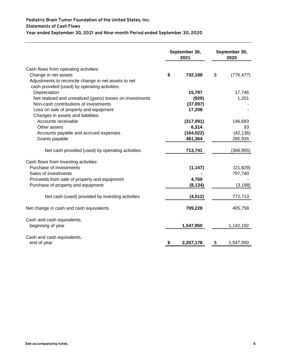#### **Pediatric Brain Tumor Foundation of the United States, Inc.**

#### **Statements of Cash Flows**

**Year ended September 30, 2021 and Nine-month Period ended September 30, 2020**

|                                                                                                                                                                        | September 30,<br>2021 | September 30,<br>2020 |            |  |  |
|------------------------------------------------------------------------------------------------------------------------------------------------------------------------|-----------------------|-----------------------|------------|--|--|
| Cash flows from operating activities:<br>Change in net assets<br>Adjustments to reconcile change in net assets to net<br>cash provided (used) by operating activities: | \$<br>732,188         | \$                    | (776, 477) |  |  |
| Depreciation                                                                                                                                                           | 15,797                |                       | 17,746     |  |  |
| Net realized and unrealized (gains) losses on investments                                                                                                              | (920)                 |                       | 1,201      |  |  |
| Non-cash contributions of investments                                                                                                                                  | (37,097)              |                       |            |  |  |
| Loss on sale of property and equipment<br>Changes in assets and liabilities:                                                                                           | 17,208                |                       |            |  |  |
| Accounts receivable                                                                                                                                                    | (317,091)             |                       | 146,683    |  |  |
| Other assets                                                                                                                                                           | 6,314                 |                       | 93         |  |  |
| Accounts payable and accrued expenses                                                                                                                                  | (164, 022)            |                       | (42, 136)  |  |  |
| Grants payable                                                                                                                                                         | 461,364               |                       | 285,935    |  |  |
| Net cash provided (used) by operating activities                                                                                                                       | 713,741               |                       | (366, 955) |  |  |
| Cash flows from investing activities:                                                                                                                                  |                       |                       |            |  |  |
| Purchase of Investments                                                                                                                                                | (1, 147)              |                       | (21, 829)  |  |  |
| Sales of investments                                                                                                                                                   |                       |                       | 797,740    |  |  |
| Proceeds from sale of property and equipment                                                                                                                           | 4,769                 |                       |            |  |  |
| Purchase of property and equipment                                                                                                                                     | (8, 134)              |                       | (3, 198)   |  |  |
| Net cash (used) provided by investing activities                                                                                                                       | (4, 512)              |                       | 772,713    |  |  |
| Net change in cash and cash equivalents                                                                                                                                | 709,228               |                       | 405,758    |  |  |
| Cash and cash equivalents,                                                                                                                                             |                       |                       |            |  |  |
| beginning of year                                                                                                                                                      | 1,547,950             |                       | 1,142,192  |  |  |
| Cash and cash equivalents,<br>end of year                                                                                                                              | \$<br>2,257,178       | \$                    | 1,547,950  |  |  |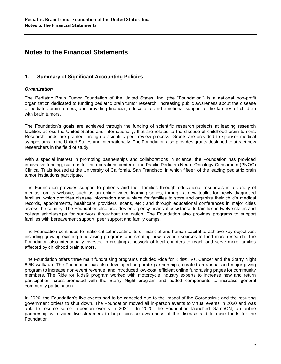#### **Notes to the Financial Statements**

#### **1. Summary of Significant Accounting Policies**

#### *Organization*

The Pediatric Brain Tumor Foundation of the United States, Inc. (the "Foundation") is a national non-profit organization dedicated to funding pediatric brain tumor research, increasing public awareness about the disease of pediatric brain tumors, and providing financial, educational and emotional support to the families of children with brain tumors.

The Foundation's goals are achieved through the funding of scientific research projects at leading research facilities across the United States and internationally, that are related to the disease of childhood brain tumors. Research funds are granted through a scientific peer review process. Grants are provided to sponsor medical symposiums in the United States and internationally. The Foundation also provides grants designed to attract new researchers in the field of study.

With a special interest in promoting partnerships and collaborations in science, the Foundation has provided innovative funding, such as for the operations center of the Pacific Pediatric Neuro-Oncology Consortium (PNOC) Clinical Trials housed at the University of California, San Francisco, in which fifteen of the leading pediatric brain tumor institutions participate.

The Foundation provides support to patients and their families through educational resources in a variety of medias: on its website, such as an online video learning series; through a new toolkit for newly diagnosed families, which provides disease information and a place for families to store and organize their child's medical records, appointments, healthcare providers, scans, etc.; and through educational conferences in major cities across the country. The Foundation also provides emergency financial assistance to families in twelve states and college scholarships for survivors throughout the nation. The Foundation also provides programs to support families with bereavement support, peer support and family camps.

The Foundation continues to make critical investments of financial and human capital to achieve key objectives, including growing existing fundraising programs and creating new revenue sources to fund more research. The Foundation also intentionally invested in creating a network of local chapters to reach and serve more families affected by childhood brain tumors.

The Foundation offers three main fundraising programs included Ride for Kids®, Vs. Cancer and the Starry Night 8.5K walk/run. The Foundation has also developed corporate partnerships; created an annual and major giving program to increase non-event revenue; and introduced low-cost, efficient online fundraising pages for community members. The Ride for Kids® program worked with motorcycle industry experts to increase new and return participation; cross-promoted with the Starry Night program and added components to increase general community participation.

In 2020, the Foundation's live events had to be canceled due to the impact of the Coronavirus and the resulting government orders to shut down. The Foundation moved all in-person events to virtual events in 2020 and was able to resume some in-person events in 2021. In 2020, the Foundation launched GameON, an online partnership with video live-streamers to help increase awareness of the disease and to raise funds for the Foundation.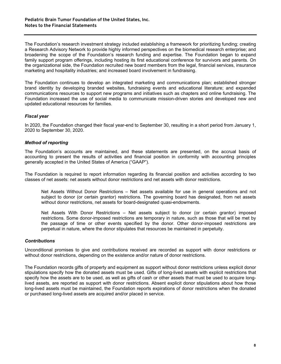The Foundation's research investment strategy included establishing a framework for prioritizing funding; creating a Research Advisory Network to provide highly informed perspectives on the biomedical research enterprise; and broadening the scope of the Foundation's research funding and expertise. The Foundation began to expand family support program offerings, including hosting its first educational conference for survivors and parents. On the organizational side, the Foundation recruited new board members from the legal, financial services, insurance marketing and hospitality industries; and increased board involvement in fundraising.

The Foundation continues to develop an integrated marketing and communications plan; established stronger brand identity by developing branded websites, fundraising events and educational literature; and expanded communications resources to support new programs and initiatives such as chapters and online fundraising. The Foundation increased the use of social media to communicate mission-driven stories and developed new and updated educational resources for families.

#### *Fiscal year*

In 2020, the Foundation changed their fiscal year-end to September 30, resulting in a short period from January 1, 2020 to September 30, 2020.

#### *Method of reporting*

The Foundation's accounts are maintained, and these statements are presented, on the accrual basis of accounting to present the results of activities and financial position in conformity with accounting principles generally accepted in the United States of America ("GAAP").

The Foundation is required to report information regarding its financial position and activities according to two classes of net assets: net assets without donor restrictions and net assets with donor restrictions.

Net Assets Without Donor Restrictions – Net assets available for use in general operations and not subject to donor (or certain grantor) restrictions. The governing board has designated, from net assets without donor restrictions, net assets for board-designated quasi-endowments.

Net Assets With Donor Restrictions – Net assets subject to donor (or certain grantor) imposed restrictions. Some donor-imposed restrictions are temporary in nature, such as those that will be met by the passage of time or other events specified by the donor. Other donor-imposed restrictions are perpetual in nature, where the donor stipulates that resources be maintained in perpetuity.

#### *Contributions*

Unconditional promises to give and contributions received are recorded as support with donor restrictions or without donor restrictions, depending on the existence and/or nature of donor restrictions.

The Foundation records gifts of property and equipment as support without donor restrictions unless explicit donor stipulations specify how the donated assets must be used. Gifts of long-lived assets with explicit restrictions that specify how the assets are to be used, as well as gifts of cash or other assets that must be used to acquire longlived assets, are reported as support with donor restrictions. Absent explicit donor stipulations about how those long-lived assets must be maintained, the Foundation reports expirations of donor restrictions when the donated or purchased long-lived assets are acquired and/or placed in service.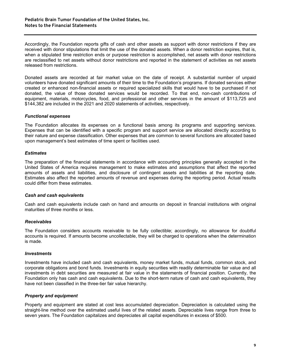Accordingly, the Foundation reports gifts of cash and other assets as support with donor restrictions if they are received with donor stipulations that limit the use of the donated assets. When a donor restriction expires, that is, when a stipulated time restriction ends or purpose restriction is accomplished, net assets with donor restrictions are reclassified to net assets without donor restrictions and reported in the statement of activities as net assets released from restrictions.

Donated assets are recorded at fair market value on the date of receipt. A substantial number of unpaid volunteers have donated significant amounts of their time to the Foundation's programs. If donated services either created or enhanced non-financial assets or required specialized skills that would have to be purchased if not donated, the value of those donated services would be recorded. To that end, non-cash contributions of equipment, materials, motorcycles, food, and professional and other services in the amount of \$113,725 and \$144,382 are included in the 2021 and 2020 statements of activities, respectively.

#### *Functional expenses*

The Foundation allocates its expenses on a functional basis among its programs and supporting services. Expenses that can be identified with a specific program and support service are allocated directly according to their nature and expense classification. Other expenses that are common to several functions are allocated based upon management's best estimates of time spent or facilities used.

#### *Estimates*

The preparation of the financial statements in accordance with accounting principles generally accepted in the United States of America requires management to make estimates and assumptions that affect the reported amounts of assets and liabilities, and disclosure of contingent assets and liabilities at the reporting date. Estimates also affect the reported amounts of revenue and expenses during the reporting period. Actual results could differ from these estimates.

#### *Cash and cash equivalents*

Cash and cash equivalents include cash on hand and amounts on deposit in financial institutions with original maturities of three months or less.

#### *Receivables*

The Foundation considers accounts receivable to be fully collectible; accordingly, no allowance for doubtful accounts is required. If amounts become uncollectable, they will be charged to operations when the determination is made.

#### *Investments*

Investments have included cash and cash equivalents, money market funds, mutual funds, common stock, and corporate obligations and bond funds. Investments in equity securities with readily determinable fair value and all investments in debt securities are measured at fair value in the statements of financial position. Currently, the Foundation only has cash and cash equivalents. Due to the short-term nature of cash and cash equivalents, they have not been classified in the three-tier fair value hierarchy.

#### *Property and equipment*

Property and equipment are stated at cost less accumulated depreciation. Depreciation is calculated using the straight-line method over the estimated useful lives of the related assets. Depreciable lives range from three to seven years. The Foundation capitalizes and depreciates all capital expenditures in excess of \$500.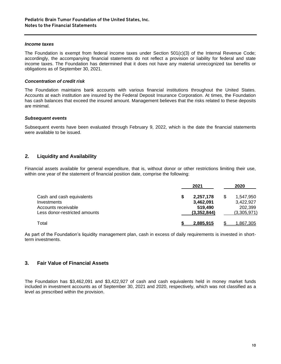#### *Income taxes*

The Foundation is exempt from federal income taxes under Section 501(c)(3) of the Internal Revenue Code; accordingly, the accompanying financial statements do not reflect a provision or liability for federal and state income taxes. The Foundation has determined that it does not have any material unrecognized tax benefits or obligations as of September 30, 2021.

#### *Concentration of credit risk*

The Foundation maintains bank accounts with various financial institutions throughout the United States. Accounts at each institution are insured by the Federal Deposit Insurance Corporation. At times, the Foundation has cash balances that exceed the insured amount. Management believes that the risks related to these deposits are minimal.

#### *Subsequent events*

Subsequent events have been evaluated through February 9, 2022, which is the date the financial statements were available to be issued.

#### **2. Liquidity and Availability**

Financial assets available for general expenditure, that is, without donor or other restrictions limiting their use, within one year of the statement of financial position date, comprise the following:

|                               | 2021        | 2020             |
|-------------------------------|-------------|------------------|
| Cash and cash equivalents     | 2,257,178   | 1,547,950        |
| Investments                   | 3,462,091   | 3,422,927        |
| Accounts receivable           | 519,490     | 202,399          |
| Less donor-restricted amounts | (3,352,844) | (3,305,971)      |
| Total                         | 2.885.915   | <u>1,867,305</u> |

As part of the Foundation's liquidity management plan, cash in excess of daily requirements is invested in shortterm investments.

#### **3. Fair Value of Financial Assets**

The Foundation has \$3,462,091 and \$3,422,927 of cash and cash equivalents held in money market funds included in investment accounts as of September 30, 2021 and 2020, respectively, which was not classified as a level as prescribed within the provision.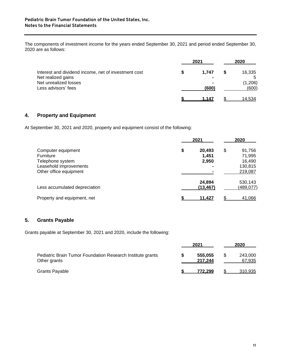The components of investment income for the years ended September 30, 2021 and period ended September 30, 2020 are as follows:

|                                                                            | 2021  | 2020             |
|----------------------------------------------------------------------------|-------|------------------|
| Interest and dividend income, net of investment cost<br>Net realized gains | 1.747 | 16,335<br>5      |
| Net unrealized losses<br>Less advisors' fees                               | (600) | (1,206)<br>(600) |
|                                                                            | 1.147 | 14.534           |

#### **4. Property and Equipment**

At September 30, 2021 and 2020, property and equipment consist of the following:

|                                                                                                                | 2021                           | 2020                                                   |
|----------------------------------------------------------------------------------------------------------------|--------------------------------|--------------------------------------------------------|
| Computer equipment<br><b>Furniture</b><br>Telephone system<br>Leasehold improvements<br>Other office equipment | \$<br>20,493<br>1,451<br>2,950 | \$<br>91,756<br>71,995<br>16,490<br>130,815<br>219,087 |
| Less accumulated depreciation                                                                                  | 24,894<br>(13, 467)            | 530,143<br>(489,077)                                   |
| Property and equipment, net                                                                                    | <u>11.427</u>                  | \$<br>41,066                                           |

#### **5. Grants Payable**

Grants payable at September 30, 2021 and 2020, include the following:

|                                                                            | 2021               | 2020              |
|----------------------------------------------------------------------------|--------------------|-------------------|
| Pediatric Brain Tumor Foundation Research Institute grants<br>Other grants | 555,055<br>217.244 | 243,000<br>67,935 |
| <b>Grants Payable</b>                                                      | 772.299            | 310,935           |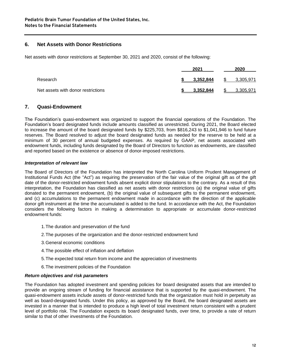#### **6. Net Assets with Donor Restrictions**

Net assets with donor restrictions at September 30, 2021 and 2020, consist of the following:

|                                    | 2021      | 2020             |
|------------------------------------|-----------|------------------|
| Research                           | 3,352,844 | -SS<br>3,305,971 |
| Net assets with donor restrictions | 3.352.844 | 3.305.971        |

#### **7. Quasi-Endowment**

The Foundation's quasi-endowment was organized to support the financial operations of the Foundation. The Foundation's board designated funds include amounts classified as unrestricted. During 2021, the Board elected to increase the amount of the board designated funds by \$225,703, from \$816,243 to \$1,041,946 to fund future reserves. The Board resolved to adjust the board designated funds as needed for the reserve to be held at a minimum of 30 percent of annual budgeted expenses. As required by GAAP, net assets associated with endowment funds, including funds designated by the Board of Directors to function as endowments, are classified and reported based on the existence or absence of donor-imposed restrictions.

#### *Interpretation of relevant law*

The Board of Directors of the Foundation has interpreted the North Carolina Uniform Prudent Management of Institutional Funds Act (the "Act") as requiring the preservation of the fair value of the original gift as of the gift date of the donor-restricted endowment funds absent explicit donor stipulations to the contrary. As a result of this interpretation, the Foundation has classified as net assets with donor restrictions (a) the original value of gifts donated to the permanent endowment, (b) the original value of subsequent gifts to the permanent endowment, and (c) accumulations to the permanent endowment made in accordance with the direction of the applicable donor gift instrument at the time the accumulated is added to the fund. In accordance with the Act, the Foundation considers the following factors in making a determination to appropriate or accumulate donor-restricted endowment funds:

- 1.The duration and preservation of the fund
- 2.The purposes of the organization and the donor-restricted endowment fund
- 3.General economic conditions
- 4.The possible effect of inflation and deflation
- 5.The expected total return from income and the appreciation of investments
- 6.The investment policies of the Foundation

#### *Return objectives and risk parameters*

The Foundation has adopted investment and spending policies for board designated assets that are intended to provide an ongoing stream of funding for financial assistance that is supported by the quasi-endowment. The quasi-endowment assets include assets of donor-restricted funds that the organization must hold in perpetuity as well as board-designated funds. Under this policy, as approved by the Board, the board designated assets are invested in a manner that is intended to produce a high level of total investment return consistent with a prudent level of portfolio risk. The Foundation expects its board designated funds, over time, to provide a rate of return similar to that of other investments of the Foundation.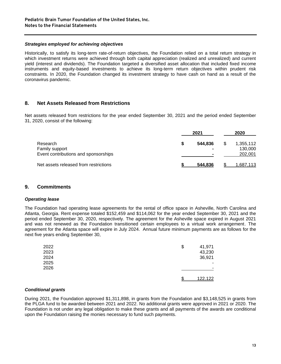#### *Strategies employed for achieving objectives*

Historically, to satisfy its long-term rate-of-return objectives, the Foundation relied on a total return strategy in which investment returns were achieved through both capital appreciation (realized and unrealized) and current yield (interest and dividends). The Foundation targeted a diversified asset allocation that included fixed income instruments and equity-based investments to achieve its long-term return objectives within prudent risk constraints. In 2020, the Foundation changed its investment strategy to have cash on hand as a result of the coronavirus pandemic.

#### **8. Net Assets Released from Restrictions**

Net assets released from restrictions for the year ended September 30, 2021 and the period ended September 31, 2020, consist of the following:

|                                       | 2021    |   | 2020             |
|---------------------------------------|---------|---|------------------|
| Research                              | 544.836 | S | 1,355,112        |
| Family support                        |         |   | 130,000          |
| Event contributions and sponsorships  |         |   | 202,001          |
| Net assets released from restrictions | 544.836 |   | <u>1,687,113</u> |

#### **9. Commitments**

#### *Operating lease*

The Foundation had operating lease agreements for the rental of office space in Asheville, North Carolina and Atlanta, Georgia. Rent expense totaled \$152,459 and \$114,062 for the year ended September 30, 2021 and the period ended September 30, 2020, respectively. The agreement for the Asheville space expired in August 2021 and was not renewed as the Foundation transitioned certain employees to a virtual work arrangement. The agreement for the Atlanta space will expire in July 2024. Annual future minimum payments are as follows for the next five years ending September 30,

| 2022 | \$ | 41,971  |
|------|----|---------|
| 2023 |    | 43,230  |
| 2024 |    | 36,921  |
| 2025 |    | ۰       |
| 2026 |    |         |
|      | £  | 122,122 |

#### *Conditional grants*

During 2021, the Foundation approved \$1,311,898, in grants from the Foundation and \$3,148,525 in grants from the PLGA fund to be awarded between 2021 and 2022. No additional grants were approved in 2021 or 2020. The Foundation is not under any legal obligation to make these grants and all payments of the awards are conditional upon the Foundation raising the monies necessary to fund such payments.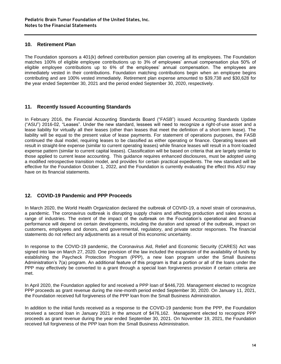#### **10. Retirement Plan**

The Foundation sponsors a 401(k) defined contribution pension plan covering all its employees. The Foundation matches 100% of eligible employee contributions up to 3% of employees' annual compensation plus 50% of eligible employee contributions up to 6% of the employees' annual compensation. The employees are immediately vested in their contributions. Foundation matching contributions begin when an employee begins contributing and are 100% vested immediately. Retirement plan expense amounted to \$39,738 and \$30,628 for the year ended September 30, 2021 and the period ended September 30, 2020, respectively.

#### **11. Recently Issued Accounting Standards**

In February 2016, the Financial Accounting Standards Board ("FASB") issued Accounting Standards Update ("ASU") 2016-02, "Leases". Under the new standard, lessees will need to recognize a right-of-use asset and a lease liability for virtually all their leases (other than leases that meet the definition of a short-term lease). The liability will be equal to the present value of lease payments. For statement of operations purposes, the FASB continued the dual model, requiring leases to be classified as either operating or finance. Operating leases will result in straight-line expense (similar to current operating leases) while finance leases will result in a front-loaded expense pattern (similar to current capital leases). Classification will be based on criteria that are largely similar to those applied to current lease accounting. This guidance requires enhanced disclosures, must be adopted using a modified retrospective transition model, and provides for certain practical expedients. The new standard will be effective for the Foundation October 1, 2022, and the Foundation is currently evaluating the effect this ASU may have on its financial statements.

#### **12. COVID-19 Pandemic and PPP Proceeds**

In March 2020, the World Health Organization declared the outbreak of COVID-19, a novel strain of coronavirus, a pandemic. The coronavirus outbreak is disrupting supply chains and affecting production and sales across a range of industries. The extent of the impact of the outbreak on the Foundation's operational and financial performance will depend on certain developments, including the duration and spread of the outbreak, impact on customers, employees and donors, and governmental, regulatory, and private sector responses. The financial statements do not reflect any adjustments as a result of this economic uncertainty.

In response to the COVID-19 pandemic, the Coronavirus Aid, Relief and Economic Security (CARES) Act was signed into law on March 27, 2020. One provision of the law included the expansion of the availability of funds by establishing the Paycheck Protection Program (PPP), a new loan program under the Small Business Administration's 7(a) program. An additional feature of this program is that a portion or all of the loans under the PPP may effectively be converted to a grant through a special loan forgiveness provision if certain criteria are met.

In April 2020, the Foundation applied for and received a PPP loan of \$446,720. Management elected to recognize PPP proceeds as grant revenue during the nine-month period ended September 30, 2020. On January 11, 2021, the Foundation received full forgiveness of the PPP loan from the Small Business Administration.

In addition to the initial funds received as a response to the COVID-19 pandemic from the PPP, the Foundation received a second loan in January 2021 in the amount of \$476,162. Management elected to recognize PPP proceeds as grant revenue during the year ended September 30, 2021. On November 19, 2021, the Foundation received full forgiveness of the PPP loan from the Small Business Administration.